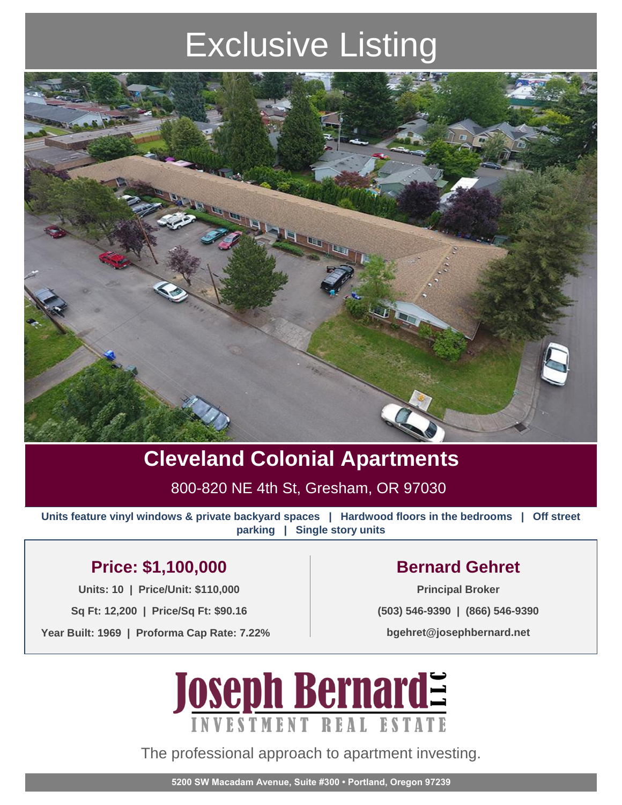# Exclusive Listing



### **Cleveland Colonial Apartments**

800-820 NE 4th St, Gresham, OR 97030

**Units feature vinyl windows & private backyard spaces | Hardwood floors in the bedrooms | Off street parking | Single story units**

### **Price: \$1,100,000 Bernard Gehret**

**Units: 10 | Price/Unit: \$110,000 Principal Broker**

**Sq Ft: 12,200 | Price/Sq Ft: \$90.16**

**Year Built: 1969 | Proforma Cap Rate: 7.22%**

**(503) 546-9390 | (866) 546-9390**

**bgehret@josephbernard.net**



The professional approach to apartment investing.

**5200 SW Macadam Avenue, Suite #300 • Portland, Oregon 97239**